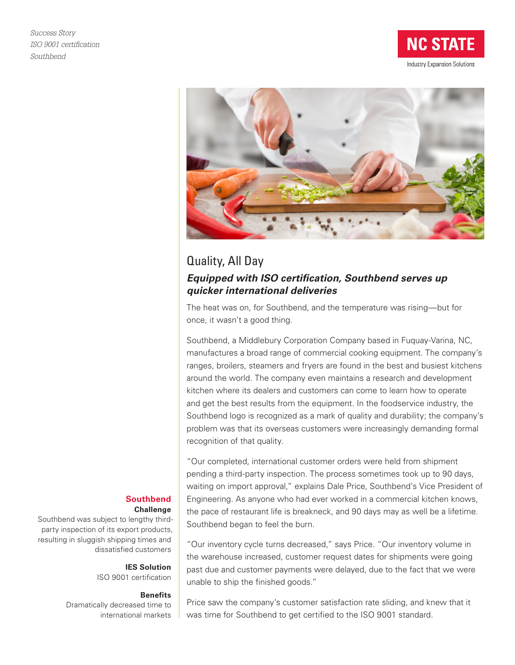



# Quality, All Day *Equipped with ISO certification, Southbend serves up quicker international deliveries*

The heat was on, for Southbend, and the temperature was rising—but for once, it wasn't a good thing.

Southbend, a Middlebury Corporation Company based in Fuquay-Varina, NC, manufactures a broad range of commercial cooking equipment. The company's ranges, broilers, steamers and fryers are found in the best and busiest kitchens around the world. The company even maintains a research and development kitchen where its dealers and customers can come to learn how to operate and get the best results from the equipment. In the foodservice industry, the Southbend logo is recognized as a mark of quality and durability; the company's problem was that its overseas customers were increasingly demanding formal recognition of that quality.

"Our completed, international customer orders were held from shipment pending a third-party inspection. The process sometimes took up to 90 days, waiting on import approval," explains Dale Price, Southbend's Vice President of Engineering. As anyone who had ever worked in a commercial kitchen knows, the pace of restaurant life is breakneck, and 90 days may as well be a lifetime. Southbend began to feel the burn.

"Our inventory cycle turns decreased," says Price. "Our inventory volume in the warehouse increased, customer request dates for shipments were going past due and customer payments were delayed, due to the fact that we were unable to ship the finished goods."

#### **Southbend Challenge**

Southbend was subject to lengthy thirdparty inspection of its export products, resulting in sluggish shipping times and dissatisfied customers

> **IES Solution** ISO 9001 certification

### **Benefits**

Dramatically decreased time to international markets

Price saw the company's customer satisfaction rate sliding, and knew that it was time for Southbend to get certified to the ISO 9001 standard.